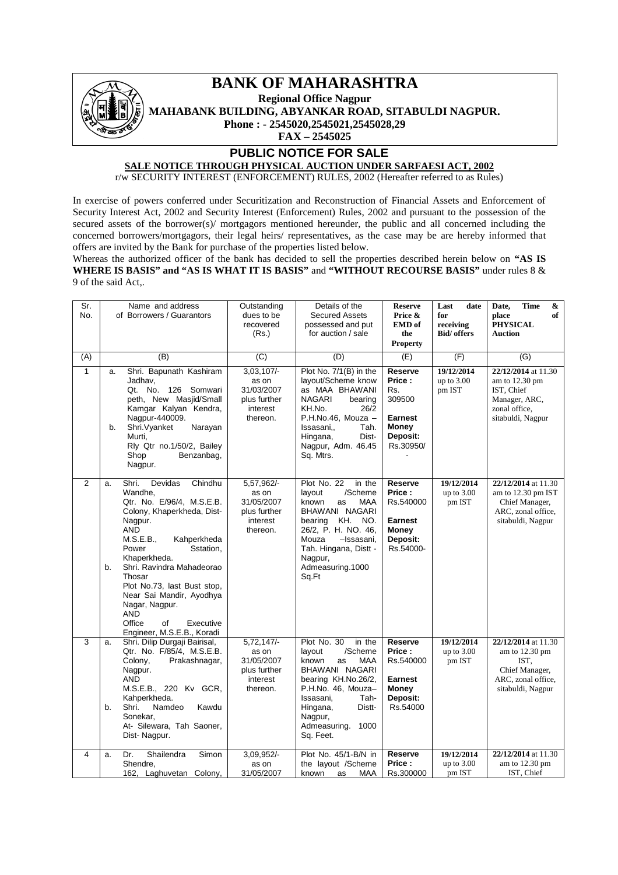

## **BANK OF MAHARASHTRA**

**Regional Office Nagpur**

**MAHABANK BUILDING, ABYANKAR ROAD, SITABULDI NAGPUR.**

**Phone : - 2545020,2545021,2545028,29**

**FAX – 2545025**

### **PUBLIC NOTICE FOR SALE**

# **SALE NOTICE THROUGH PHYSICAL AUCTION UNDER SARFAESI ACT, 2002**

r/w SECURITY INTEREST (ENFORCEMENT) RULES, 2002 (Hereafter referred to as Rules)

In exercise of powers conferred under Securitization and Reconstruction of Financial Assets and Enforcement of Security Interest Act, 2002 and Security Interest (Enforcement) Rules, 2002 and pursuant to the possession of the secured assets of the borrower(s)/ mortgagors mentioned hereunder, the public and all concerned including the concerned borrowers/mortgagors, their legal heirs/ representatives, as the case may be are hereby informed that offers are invited by the Bank for purchase of the properties listed below.

Whereas the authorized officer of the bank has decided to sell the properties described herein below on **"AS IS WHERE IS BASIS" and "AS IS WHAT IT IS BASIS"** and **"WITHOUT RECOURSE BASIS"** under rules 8 & 9 of the said Act,.

| Sr.<br>No.     | Name and address<br>of Borrowers / Guarantors                                                                                                                                                                                                                                                                                                                                                         | Outstanding<br>dues to be<br>recovered<br>(Rs.)                             | Details of the<br><b>Secured Assets</b><br>possessed and put<br>for auction / sale                                                                                                                                                | <b>Reserve</b><br>Price &<br><b>EMD</b> of<br>the                                         | Last<br>date<br>for<br>receiving<br><b>Bid/</b> offers | <b>Time</b><br>Date,<br>&<br>place<br>of<br><b>PHYSICAL</b><br><b>Auction</b>                                        |
|----------------|-------------------------------------------------------------------------------------------------------------------------------------------------------------------------------------------------------------------------------------------------------------------------------------------------------------------------------------------------------------------------------------------------------|-----------------------------------------------------------------------------|-----------------------------------------------------------------------------------------------------------------------------------------------------------------------------------------------------------------------------------|-------------------------------------------------------------------------------------------|--------------------------------------------------------|----------------------------------------------------------------------------------------------------------------------|
|                |                                                                                                                                                                                                                                                                                                                                                                                                       |                                                                             |                                                                                                                                                                                                                                   | <b>Property</b>                                                                           |                                                        |                                                                                                                      |
| (A)            | (B)                                                                                                                                                                                                                                                                                                                                                                                                   | (C)                                                                         | (D)                                                                                                                                                                                                                               | (E)                                                                                       | (F)                                                    | $\overline{(G)}$                                                                                                     |
| $\mathbf{1}$   | Shri. Bapunath Kashiram<br>a.<br>Jadhav.<br>Qt. No.<br>126 Somwari<br>peth, New Masjid/Small<br>Kamgar Kalyan Kendra,<br>Nagpur-440009.<br>Shri. Vyanket<br>Narayan<br>b.<br>Murti,<br>Rly Qtr no.1/50/2, Bailey<br>Shop<br>Benzanbag,<br>Nagpur.                                                                                                                                                     | $3,03,107/-$<br>as on<br>31/03/2007<br>plus further<br>interest<br>thereon. | Plot No. 7/1(B) in the<br>layout/Scheme know<br>as MAA BHAWANI<br><b>NAGARI</b><br>bearing<br>KH.No.<br>26/2<br>P.H.No.46, Mouza -<br>Issasani<br>Tah.<br>Hingana,<br>Dist-<br>Nagpur, Adm. 46.45<br>Sq. Mtrs.                    | Reserve<br>Price:<br>Rs.<br>309500<br><b>Earnest</b><br>Money<br>Deposit:<br>Rs.30950/    | 19/12/2014<br>up to $3.00$<br>pm IST                   | 22/12/2014 at 11.30<br>am to 12.30 pm<br>IST, Chief<br>Manager, ARC,<br>zonal office,<br>sitabuldi, Nagpur           |
| $\overline{2}$ | Shri.<br>Devidas<br>Chindhu<br>a.<br>Wandhe,<br>Qtr. No. E/96/4, M.S.E.B.<br>Colony, Khaperkheda, Dist-<br>Nagpur.<br><b>AND</b><br>M.S.E.B.,<br>Kahperkheda<br>Power<br>Sstation,<br>Khaperkheda.<br>Shri. Ravindra Mahadeorao<br>b.<br>Thosar<br>Plot No.73, last Bust stop,<br>Near Sai Mandir, Ayodhya<br>Nagar, Nagpur.<br><b>AND</b><br>Office<br>of<br>Executive<br>Engineer, M.S.E.B., Koradi | 5,57,962/-<br>as on<br>31/05/2007<br>plus further<br>interest<br>thereon.   | Plot No. 22<br>in the<br>/Scheme<br>layout<br>known<br><b>MAA</b><br>as<br>BHAWANI NAGARI<br>KH. NO.<br>bearing<br>26/2, P. H. NO. 46,<br>Mouza<br>-Issasani,<br>Tah. Hingana, Distt -<br>Nagpur,<br>Admeasuring.1000<br>Sq.Ft    | <b>Reserve</b><br>Price:<br>Rs.540000<br><b>Earnest</b><br>Money<br>Deposit:<br>Rs.54000- | 19/12/2014<br>up to $3.00$<br>pm IST                   | 22/12/2014 at 11.30<br>am to 12.30 pm IST<br>Chief Manager,<br>ARC, zonal office,<br>sitabuldi, Nagpur               |
| 3              | Shri. Dilip Durgaji Bairisal,<br>a.<br>Qtr. No. F/85/4, M.S.E.B.<br>Colony,<br>Prakashnagar,<br>Nagpur.<br><b>AND</b><br>M.S.E.B., 220 Kv GCR,<br>Kahperkheda.<br>Shri.<br>Namdeo<br>Kawdu<br>b.<br>Sonekar.<br>At- Silewara, Tah Saoner,<br>Dist-Nagpur.                                                                                                                                             | $5,72,147/-$<br>as on<br>31/05/2007<br>plus further<br>interest<br>thereon. | Plot No. 30<br>in the<br>/Scheme<br>layout<br>known<br><b>MAA</b><br>as<br>BHAWANI NAGARI<br>bearing KH.No.26/2,<br>P.H.No. 46, Mouza-<br>Issasani,<br>Tah-<br>Hingana,<br>Distt-<br>Nagpur,<br>Admeasuring.<br>1000<br>Sq. Feet. | Reserve<br>Price:<br>Rs.540000<br><b>Earnest</b><br>Money<br>Deposit:<br>Rs.54000         | 19/12/2014<br>up to 3.00<br>pm IST                     | 22/12/2014 at 11.30<br>am to $12.30 \text{ pm}$<br>IST.<br>Chief Manager,<br>ARC, zonal office,<br>sitabuldi, Nagpur |
| 4              | Dr.<br>Shailendra<br>Simon<br>a.<br>Shendre,<br>162, Laghuvetan Colony,                                                                                                                                                                                                                                                                                                                               | 3,09,952/-<br>as on<br>31/05/2007                                           | Plot No. 45/1-B/N in<br>the layout /Scheme<br><b>MAA</b><br>known<br>as                                                                                                                                                           | Reserve<br>Price:<br>Rs.300000                                                            | 19/12/2014<br>up to $3.00$<br>pm IST                   | 22/12/2014 at 11.30<br>am to 12.30 pm<br>IST, Chief                                                                  |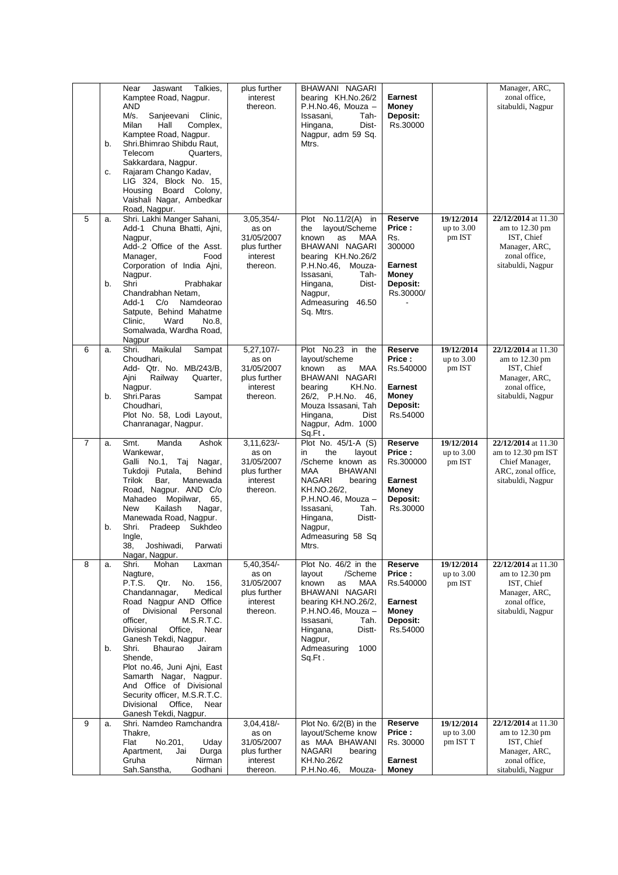|                | b.<br>c. | Jaswant<br>Talkies,<br>Near<br>Kamptee Road, Nagpur.<br>AND<br>M/s.<br>Sanjeevani<br>Clinic,<br>Milan<br>Hall<br>Complex,<br>Kamptee Road, Nagpur.<br>Shri.Bhimrao Shibdu Raut,<br>Telecom<br>Quarters,<br>Sakkardara, Nagpur.<br>Rajaram Chango Kadav,<br>LIG 324, Block No. 15,<br>Housing Board Colony,<br>Vaishali Nagar, Ambedkar<br>Road, Nagpur.                                                                                                                        | plus further<br>interest<br>thereon.                                        | BHAWANI NAGARI<br>bearing KH.No.26/2<br>P.H.No.46, Mouza -<br>Issasani,<br>Tah-<br>Dist-<br>Hingana,<br>Nagpur, adm 59 Sq.<br>Mtrs.                                                                                                          | <b>Earnest</b><br><b>Money</b><br>Deposit:<br>Rs.30000                                          |                                        | Manager, ARC,<br>zonal office,<br>sitabuldi, Nagpur                                                                  |
|----------------|----------|--------------------------------------------------------------------------------------------------------------------------------------------------------------------------------------------------------------------------------------------------------------------------------------------------------------------------------------------------------------------------------------------------------------------------------------------------------------------------------|-----------------------------------------------------------------------------|----------------------------------------------------------------------------------------------------------------------------------------------------------------------------------------------------------------------------------------------|-------------------------------------------------------------------------------------------------|----------------------------------------|----------------------------------------------------------------------------------------------------------------------|
| 5              | a.<br>b. | Shri. Lakhi Manger Sahani,<br>Add-1 Chuna Bhatti, Ajni,<br>Nagpur,<br>Add-.2 Office of the Asst.<br>Food<br>Manager,<br>Corporation of India Ajni,<br>Nagpur.<br>Shri<br>Prabhakar<br>Chandrabhan Netam,<br>Add-1<br>C/O<br>Namdeorao<br>Satpute, Behind Mahatme<br>Ward<br>Clinic,<br>No.8,<br>Somalwada, Wardha Road,<br>Nagpur                                                                                                                                              | 3,05,354/-<br>as on<br>31/05/2007<br>plus further<br>interest<br>thereon.   | Plot No.11/2(A) in<br>layout/Scheme<br>the<br>known<br>as<br>MAA<br>BHAWANI NAGARI<br>bearing KH.No.26/2<br>P.H.No.46, Mouza-<br>Issasani,<br>Tah-<br>Hingana,<br>Dist-<br>Nagpur,<br>Admeasuring<br>46.50<br>Sq. Mtrs.                      | Reserve<br>Price:<br>Rs.<br>300000<br><b>Earnest</b><br><b>Money</b><br>Deposit:<br>Rs.30000/   | 19/12/2014<br>up to $3.00$<br>pm IST   | 22/12/2014 at 11.30<br>am to $12.30 \text{ pm}$<br>IST, Chief<br>Manager, ARC,<br>zonal office,<br>sitabuldi, Nagpur |
| 6              | a.<br>b. | Sampat<br>Shri.<br>Maikulal<br>Choudhari,<br>Add- Qtr. No. MB/243/B,<br>Railway<br>Quarter,<br>Ajni<br>Nagpur.<br>Shri.Paras<br>Sampat<br>Choudhari,<br>Plot No. 58, Lodi Layout,<br>Chanranagar, Nagpur.                                                                                                                                                                                                                                                                      | $5,27,107/-$<br>as on<br>31/05/2007<br>plus further<br>interest<br>thereon. | Plot No.23 in the<br>layout/scheme<br>MAA<br>known<br>as<br>BHAWANI NAGARI<br>KH.No.<br>bearing<br>26/2, P.H.No.<br>46.<br>Mouza Issasani, Tah<br>Hingana,<br>Dist<br>Nagpur, Adm. 1000<br>Sq.Ft.                                            | <b>Reserve</b><br>Price:<br>Rs.540000<br><b>Earnest</b><br><b>Money</b><br>Deposit:<br>Rs.54000 | 19/12/2014<br>up to $3.00$<br>pm IST   | 22/12/2014 at 11.30<br>am to $12.30 \text{ pm}$<br>IST, Chief<br>Manager, ARC,<br>zonal office,<br>sitabuldi, Nagpur |
| $\overline{7}$ | a.<br>b. | Manda<br>Ashok<br>Smt.<br>Wankewar,<br>Galli No.1, Taj<br>Nagar,<br>Tukdoji Putala,<br>Behind<br>Trilok<br>Bar,<br>Manewada<br>Road, Nagpur. AND C/o<br>Mahadeo Mopilwar,<br>65,<br>New<br>Kailash<br>Nagar,<br>Manewada Road, Nagpur.<br>Shri.<br>Pradeep Sukhdeo<br>Ingle,<br>38, Joshiwadi,<br>Parwati<br>Nagar, Nagpur.                                                                                                                                                    | 3,11,623/<br>as on<br>31/05/2007<br>plus further<br>interest<br>thereon.    | Plot No. 45/1-A (S)<br>the<br>layout<br>in<br>/Scheme known as<br>MAA<br><b>BHAWANI</b><br><b>NAGARI</b><br>bearing<br>KH.NO.26/2,<br>P.H.NO.46, Mouza -<br>Tah.<br>Issasani,<br>Distt-<br>Hingana,<br>Nagpur,<br>Admeasuring 58 Sq<br>Mtrs. | <b>Reserve</b><br>Price:<br>Rs.300000<br><b>Earnest</b><br><b>Money</b><br>Deposit:<br>Rs.30000 | 19/12/2014<br>up to $3.00$<br>pm IST   | 22/12/2014 at 11.30<br>am to 12.30 pm IST<br>Chief Manager,<br>ARC, zonal office,<br>sitabuldi, Nagpur               |
| 8              | a.<br>b. | Shri.<br>Mohan<br>Laxman<br>Nagture,<br>P.T.S.<br>Qtr.<br>No.<br>156,<br>Medical<br>Chandannagar,<br>Road Nagpur AND Office<br>Divisional<br>of<br>Personal<br>officer.<br>M.S.R.T.C.<br>Divisional<br>Office,<br>Near<br>Ganesh Tekdi, Nagpur.<br>Shri.<br><b>Bhaurao</b><br>Jairam<br>Shende,<br>Plot no.46, Juni Ajni, East<br>Samarth Nagar, Nagpur.<br>And Office of Divisional<br>Security officer, M.S.R.T.C.<br>Divisional<br>Office,<br>Near<br>Ganesh Tekdi, Nagpur. | 5,40,354/-<br>as on<br>31/05/2007<br>plus further<br>interest<br>thereon.   | Plot No. 46/2 in the<br>/Scheme<br>layout<br>known<br>MAA<br>as<br>BHAWANI NAGARI<br>bearing KH.NO.26/2,<br>P.H.NO.46, Mouza -<br>Tah.<br>Issasani,<br>Hingana,<br>Distt-<br>Nagpur,<br>Admeasuring<br>1000<br>Sq.Ft.                        | Reserve<br>Price:<br>Rs.540000<br><b>Earnest</b><br><b>Money</b><br>Deposit:<br>Rs.54000        | 19/12/2014<br>up to $3.00$<br>pm IST   | 22/12/2014 at 11.30<br>am to $12.30 \text{ pm}$<br>IST, Chief<br>Manager, ARC,<br>zonal office,<br>sitabuldi, Nagpur |
| 9              | a.       | Shri. Namdeo Ramchandra<br>Thakre,<br>Flat<br>No.201,<br>Uday<br>Apartment,<br>Durga<br>Jai<br>Gruha<br>Nirman<br>Godhani<br>Sah.Sanstha,                                                                                                                                                                                                                                                                                                                                      | $3,04,418/-$<br>as on<br>31/05/2007<br>plus further<br>interest<br>thereon. | Plot No. 6/2(B) in the<br>layout/Scheme know<br>as MAA BHAWANI<br><b>NAGARI</b><br>bearing<br>KH.No.26/2<br>P.H.No.46,<br>Mouza-                                                                                                             | Reserve<br>Price:<br>Rs. 30000<br><b>Earnest</b><br><b>Money</b>                                | 19/12/2014<br>up to $3.00$<br>pm IST T | 22/12/2014 at 11.30<br>am to 12.30 pm<br>IST, Chief<br>Manager, ARC,<br>zonal office,<br>sitabuldi, Nagpur           |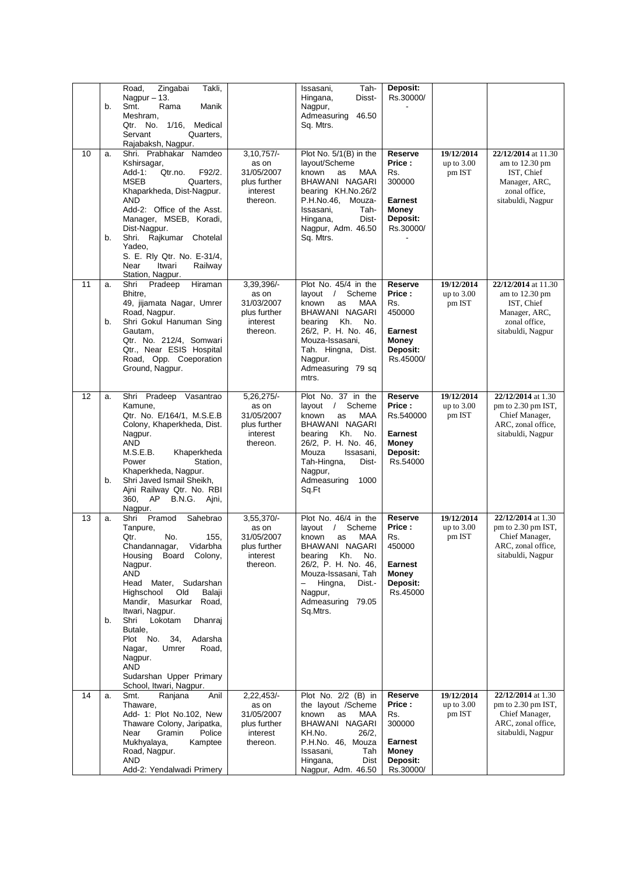|    | b.       | Takli,<br>Road,<br>Zingabai<br>Nagpur $-13$ .<br>Smt.<br>Rama<br>Manik<br>Meshram,<br>1/16,<br>Medical<br>Qtr. No.<br>Servant<br>Quarters.<br>Rajabaksh, Nagpur.                                                                                                                                                                                                    |                                                                             | Tah-<br>Issasani,<br>Disst-<br>Hingana,<br>Nagpur,<br>Admeasuring<br>46.50<br>Sq. Mtrs.                                                                                                                                                | Deposit:<br>Rs.30000/                                                                         |                                                   |                                                                                                                      |
|----|----------|---------------------------------------------------------------------------------------------------------------------------------------------------------------------------------------------------------------------------------------------------------------------------------------------------------------------------------------------------------------------|-----------------------------------------------------------------------------|----------------------------------------------------------------------------------------------------------------------------------------------------------------------------------------------------------------------------------------|-----------------------------------------------------------------------------------------------|---------------------------------------------------|----------------------------------------------------------------------------------------------------------------------|
| 10 | a.<br>b. | Shri. Prabhakar Namdeo<br>Kshirsagar,<br>$Add-1$ :<br>Qtr.no.<br>F92/2.<br>MSEB<br>Quarters.<br>Khaparkheda, Dist-Nagpur.<br><b>AND</b><br>Add-2: Office of the Asst.<br>Manager, MSEB, Koradi,<br>Dist-Nagpur.<br>Shri. Rajkumar Chotelal                                                                                                                          | $3,10,757/-$<br>as on<br>31/05/2007<br>plus further<br>interest<br>thereon. | Plot No. 5/1(B) in the<br>layout/Scheme<br>known<br>MAA<br>as<br>BHAWANI NAGARI<br>bearing KH.No.26/2<br>P.H.No.46,<br>Mouza-<br>Issasani.<br>Tah-<br>Hingana,<br>Dist-<br>Nagpur, Adm. 46.50<br>Sq. Mtrs.                             | Reserve<br>Price:<br>Rs.<br>300000<br>Earnest<br>Money<br><b>Deposit:</b><br>Rs.30000/        | 19/12/2014<br>up to $3.00$<br>pm IST              | 22/12/2014 at 11.30<br>am to $12.30 \text{ pm}$<br>IST, Chief<br>Manager, ARC,<br>zonal office,<br>sitabuldi, Nagpur |
|    |          | Yadeo,<br>S. E. Rly Qtr. No. E-31/4,<br>Near<br>Itwari<br>Railway<br>Station, Nagpur.                                                                                                                                                                                                                                                                               |                                                                             |                                                                                                                                                                                                                                        |                                                                                               |                                                   |                                                                                                                      |
| 11 | a.<br>b. | Shri<br>Pradeep<br>Hiraman<br>Bhitre,<br>49, jijamata Nagar, Umrer<br>Road, Nagpur.<br>Shri Gokul Hanuman Sing                                                                                                                                                                                                                                                      | 3,39,396/-<br>as on<br>31/03/2007<br>plus further<br>interest               | Plot No. 45/4 in the<br>layout / Scheme<br>known<br>MAA<br>as<br>BHAWANI NAGARI<br>Kh.<br>No.<br>bearing                                                                                                                               | <b>Reserve</b><br>Price :<br>Rs.<br>450000                                                    | $\overline{19}/12/2014$<br>up to $3.00$<br>pm IST | 22/12/2014 at 11.30<br>am to $12.30 \text{ pm}$<br>IST, Chief<br>Manager, ARC,<br>zonal office,                      |
|    |          | Gautam,<br>Qtr. No. 212/4, Somwari<br>Qtr., Near ESIS Hospital<br>Road, Opp. Coeporation<br>Ground, Nagpur.                                                                                                                                                                                                                                                         | thereon.                                                                    | 26/2, P. H. No. 46,<br>Mouza-Issasani,<br>Tah. Hingna, Dist.<br>Nagpur.<br>Admeasuring 79 sq<br>mtrs.                                                                                                                                  | Earnest<br>Money<br>Deposit:<br>Rs.45000/                                                     |                                                   | sitabuldi, Nagpur                                                                                                    |
| 12 | a.<br>b. | Shri Pradeep Vasantrao<br>Kamune,<br>Qtr. No. E/164/1, M.S.E.B<br>Colony, Khaperkheda, Dist.<br>Nagpur.<br>AND<br>M.S.E.B.<br>Khaperkheda<br>Power<br>Station,<br>Khaperkheda, Nagpur.<br>Shri Javed Ismail Sheikh,<br>Ajni Railway Qtr. No. RBI<br>360, AP<br>B.N.G. Aini,<br>Nagpur.                                                                              | 5,26,275/-<br>as on<br>31/05/2007<br>plus further<br>interest<br>thereon.   | Plot No. 37 in the<br>layout $/$<br>Scheme<br>known<br>MAA<br>as<br>BHAWANI NAGARI<br>Kh.<br>No.<br>bearing<br>26/2, P. H. No. 46,<br>Mouza<br>Issasani,<br>Tah-Hingna,<br>Dist-<br>Nagpur,<br>Admeasuring<br>1000<br>Sq.Ft            | <b>Reserve</b><br>Price:<br>Rs.540000<br>Earnest<br>Money<br>Deposit:<br>Rs.54000             | 19/12/2014<br>up to $3.00$<br>pm IST              | 22/12/2014 at 1.30<br>pm to 2.30 pm IST,<br>Chief Manager,<br>ARC, zonal office,<br>sitabuldi, Nagpur                |
| 13 | a.<br>b. | Pramod<br>Sahebrao<br>Shri<br>Tanpure,<br>No.<br>155,<br>Qtr.<br>Chandannagar, Vidarbha<br>Board Colony,<br>Housing<br>Nagpur.<br>AND<br>Head Mater, Sudarshan<br>Highschool<br>Balaji<br>Old<br>Mandir, Masurkar Road,<br>Itwari, Nagpur.<br>Lokotam<br>Shri<br>Dhanraj<br>Butale,<br>Plot No. 34,<br>Adarsha<br>Umrer<br>Road,<br>Nagar,<br>Nagpur.<br><b>AND</b> | 3,55,370/-<br>as on<br>31/05/2007<br>plus further<br>interest<br>thereon.   | Plot No. 46/4 in the<br>layout<br>$\sqrt{ }$<br>Scheme<br>known<br>MAA<br>as<br>BHAWANI NAGARI<br>Kh.<br>bearing<br>No.<br>26/2, P. H. No. 46,<br>Mouza-Issasani, Tah<br>Hingna,<br>Dist.-<br>Nagpur,<br>Admeasuring 79.05<br>Sq.Mtrs. | Reserve<br>Price :<br>Rs.<br>450000<br><b>Earnest</b><br>Money<br><b>Deposit:</b><br>Rs.45000 | 19/12/2014<br>up to $3.00$<br>pm IST              | 22/12/2014 at 1.30<br>pm to 2.30 pm IST,<br>Chief Manager,<br>ARC, zonal office,<br>sitabuldi, Nagpur                |
| 14 | a.       | Sudarshan Upper Primary<br>School, Itwari, Nagpur.<br>Smt.<br>Ranjana<br>Anil                                                                                                                                                                                                                                                                                       | 2,22,453/-                                                                  | Plot No. 2/2 (B) in                                                                                                                                                                                                                    | Reserve                                                                                       | 19/12/2014                                        | 22/12/2014 at 1.30                                                                                                   |
|    |          | Thaware,<br>Add- 1: Plot No.102, New<br>Thaware Colony, Jaripatka,<br>Near<br>Police<br>Gramin<br>Mukhyalaya,<br>Kamptee<br>Road, Nagpur.<br>AND<br>Add-2: Yendalwadi Primery                                                                                                                                                                                       | as on<br>31/05/2007<br>plus further<br>interest<br>thereon.                 | the layout /Scheme<br>known<br>as<br>MAA<br>BHAWANI NAGARI<br>KH.No.<br>26/2,<br>P.H.No. 46, Mouza<br>Issasani,<br>Tah<br>Dist<br>Hingana,<br>Nagpur, Adm. 46.50                                                                       | Price :<br>Rs.<br>300000<br>Earnest<br>Money<br>Deposit:<br>Rs.30000/                         | up to $3.00$<br>pm IST                            | pm to 2.30 pm IST,<br>Chief Manager,<br>ARC, zonal office,<br>sitabuldi, Nagpur                                      |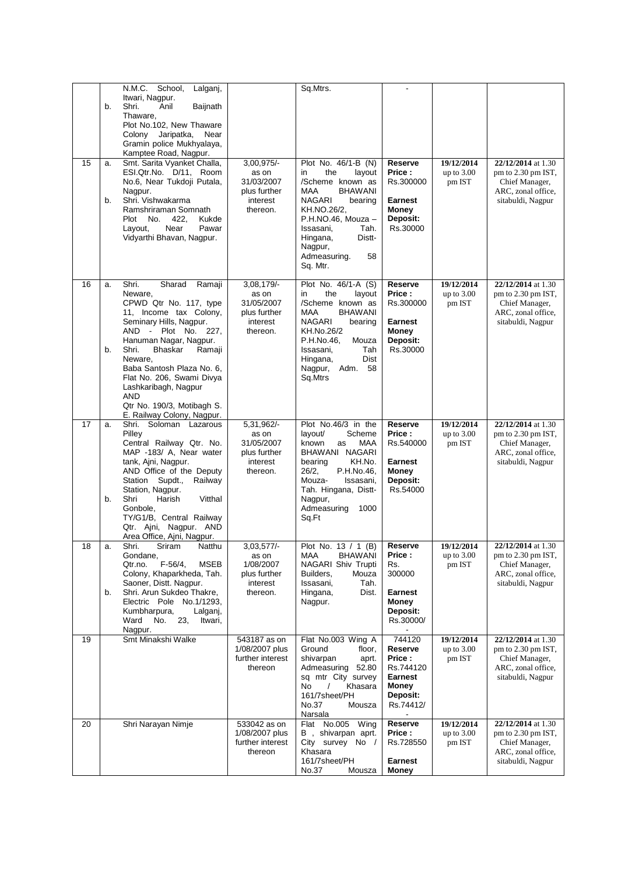|    |          | N.M.C. School,<br>Lalganj,                                                                                                                                                                                                                                                                                                                                                |                                                                           | Sq.Mtrs.                                                                                                                                                                                                                                  |                                                                                               |                                      |                                                                                                       |
|----|----------|---------------------------------------------------------------------------------------------------------------------------------------------------------------------------------------------------------------------------------------------------------------------------------------------------------------------------------------------------------------------------|---------------------------------------------------------------------------|-------------------------------------------------------------------------------------------------------------------------------------------------------------------------------------------------------------------------------------------|-----------------------------------------------------------------------------------------------|--------------------------------------|-------------------------------------------------------------------------------------------------------|
|    | b.       | Itwari, Nagpur.<br>Shri.<br>Anil<br>Baijnath<br>Thaware,<br>Plot No.102, New Thaware<br>Colony Jaripatka,<br>Near<br>Gramin police Mukhyalaya,                                                                                                                                                                                                                            |                                                                           |                                                                                                                                                                                                                                           |                                                                                               |                                      |                                                                                                       |
| 15 | a.<br>b. | Kamptee Road, Nagpur.<br>Smt. Sarita Vyanket Challa,<br>ESI.Qtr.No. D/11, Room<br>No.6, Near Tukdoji Putala,<br>Nagpur.<br>Shri. Vishwakarma<br>Ramshriraman Somnath<br>Plot No.<br>422,<br>Kukde<br>Near<br>Pawar<br>Layout,<br>Vidyarthi Bhavan, Nagpur.                                                                                                                | 3,00,975/-<br>as on<br>31/03/2007<br>plus further<br>interest<br>thereon. | Plot No. 46/1-B (N)<br>the<br>in<br>layout<br>/Scheme known as<br>MAA<br><b>BHAWANI</b><br>NAGARI<br>bearing<br>KH.NO.26/2,<br>P.H.NO.46, Mouza -<br>Tah.<br>Issasani,<br>Distt-<br>Hingana,<br>Nagpur,<br>Admeasuring.<br>58<br>Sq. Mtr. | Reserve<br>Price:<br>Rs.300000<br>Earnest<br><b>Money</b><br><b>Deposit:</b><br>Rs.30000      | 19/12/2014<br>up to $3.00$<br>pm IST | 22/12/2014 at 1.30<br>pm to 2.30 pm IST,<br>Chief Manager,<br>ARC, zonal office,<br>sitabuldi, Nagpur |
| 16 | a.<br>b. | Shri.<br>Sharad<br>Ramaji<br>Neware,<br>CPWD Qtr No. 117, type<br>11, Income tax Colony,<br>Seminary Hills, Nagpur.<br>AND - Plot No. 227,<br>Hanuman Nagar, Nagpur.<br>Shri.<br>Bhaskar<br>Ramaji<br>Neware,<br>Baba Santosh Plaza No. 6,<br>Flat No. 206, Swami Divya<br>Lashkaribagh, Nagpur<br><b>AND</b><br>Qtr No. 190/3, Motibagh S.<br>E. Railway Colony, Nagpur. | 3,08,179/-<br>as on<br>31/05/2007<br>plus further<br>interest<br>thereon. | Plot No. 46/1-A (S)<br>the<br>in<br>layout<br>/Scheme known as<br>MAA<br><b>BHAWANI</b><br>NAGARI<br>bearing<br>KH.No.26/2<br>P.H.No.46,<br>Mouza<br>Tah<br>Issasani,<br>Dist<br>Hingana,<br>Nagpur,<br>Adm.<br>58<br>Sq.Mtrs             | Reserve<br>Price :<br>Rs.300000<br><b>Earnest</b><br>Money<br>Deposit:<br>Rs.30000            | 19/12/2014<br>up to $3.00$<br>pm IST | 22/12/2014 at 1.30<br>pm to 2.30 pm IST,<br>Chief Manager,<br>ARC, zonal office,<br>sitabuldi, Nagpur |
| 17 | a.<br>b. | Shri. Soloman Lazarous<br>Pilley<br>Central Railway Qtr. No.<br>MAP -183/ A, Near water<br>tank, Ajni, Nagpur.<br>AND Office of the Deputy<br>Supdt.,<br>Railway<br>Station<br>Station, Nagpur.<br>Shri<br>Harish<br>Vitthal<br>Gonbole,<br>TY/G1/B, Central Railway<br>Qtr. Ajni, Nagpur. AND<br>Area Office, Ajni, Nagpur.                                              | 5,31,962/-<br>as on<br>31/05/2007<br>plus further<br>interest<br>thereon. | Plot No.46/3 in the<br>layout/<br>Scheme<br>known<br>MAA<br>as<br>BHAWANI NAGARI<br>KH.No.<br>bearing<br>26/2,<br>P.H.No.46,<br>Mouza-<br>Issasani,<br>Tah. Hingana, Distt-<br>Nagpur,<br>Admeasuring<br>1000<br>Sq.Ft                    | Reserve<br>Price:<br>Rs.540000<br><b>Earnest</b><br>Money<br><b>Deposit:</b><br>Rs.54000      | 19/12/2014<br>up to 3.00<br>pm IST   | 22/12/2014 at 1.30<br>pm to 2.30 pm IST,<br>Chief Manager,<br>ARC, zonal office,<br>sitabuldi, Nagpur |
| 18 | a.<br>b. | Shri.<br>Sriram<br>Natthu<br>Gondane,<br>$F-56/4$ ,<br><b>MSEB</b><br>Qtr.no.<br>Colony, Khaparkheda, Tah.<br>Saoner, Distt. Nagpur.<br>Shri. Arun Sukdeo Thakre,<br>Electric Pole No.1/1293,<br>Kumbharpura,<br>Lalganj,<br>Ward<br>No.<br>23,<br>Itwari,<br>Nagpur.                                                                                                     | 3,03,577/-<br>as on<br>1/08/2007<br>plus further<br>interest<br>thereon.  | Plot No. 13 / 1 (B)<br><b>BHAWANI</b><br>MAA<br>NAGARI Shiv Trupti<br>Builders.<br>Mouza<br>Issasani,<br>Tah.<br>Hingana,<br>Dist.<br>Nagpur.                                                                                             | <b>Reserve</b><br>Price:<br>Rs.<br>300000<br><b>Earnest</b><br>Money<br>Deposit:<br>Rs.30000/ | 19/12/2014<br>up to $3.00$<br>pm IST | 22/12/2014 at 1.30<br>pm to 2.30 pm IST,<br>Chief Manager,<br>ARC, zonal office,<br>sitabuldi, Nagpur |
| 19 |          | Smt Minakshi Walke                                                                                                                                                                                                                                                                                                                                                        | 543187 as on<br>1/08/2007 plus<br>further interest<br>thereon             | Flat No.003 Wing A<br>Ground<br>floor,<br>shivarpan<br>aprt.<br>Admeasuring 52.80<br>sq mtr City survey<br>No<br>Khasara<br>161/7sheet/PH<br>No.37<br>Mousza<br>Narsala                                                                   | 744120<br>Reserve<br>Price :<br>Rs.744120<br>Earnest<br><b>Money</b><br>Deposit:<br>Rs.74412/ | 19/12/2014<br>up to $3.00$<br>pm IST | 22/12/2014 at 1.30<br>pm to 2.30 pm IST,<br>Chief Manager,<br>ARC, zonal office,<br>sitabuldi, Nagpur |
| 20 |          | Shri Narayan Nimje                                                                                                                                                                                                                                                                                                                                                        | 533042 as on<br>1/08/2007 plus<br>further interest<br>thereon             | Flat No.005 Wing<br>B, shivarpan aprt.<br>City survey No /<br>Khasara<br>161/7sheet/PH<br>No.37<br>Mousza                                                                                                                                 | Reserve<br>Price :<br>Rs.728550<br><b>Earnest</b><br><b>Money</b>                             | 19/12/2014<br>up to $3.00$<br>pm IST | 22/12/2014 at 1.30<br>pm to 2.30 pm IST,<br>Chief Manager,<br>ARC, zonal office,<br>sitabuldi, Nagpur |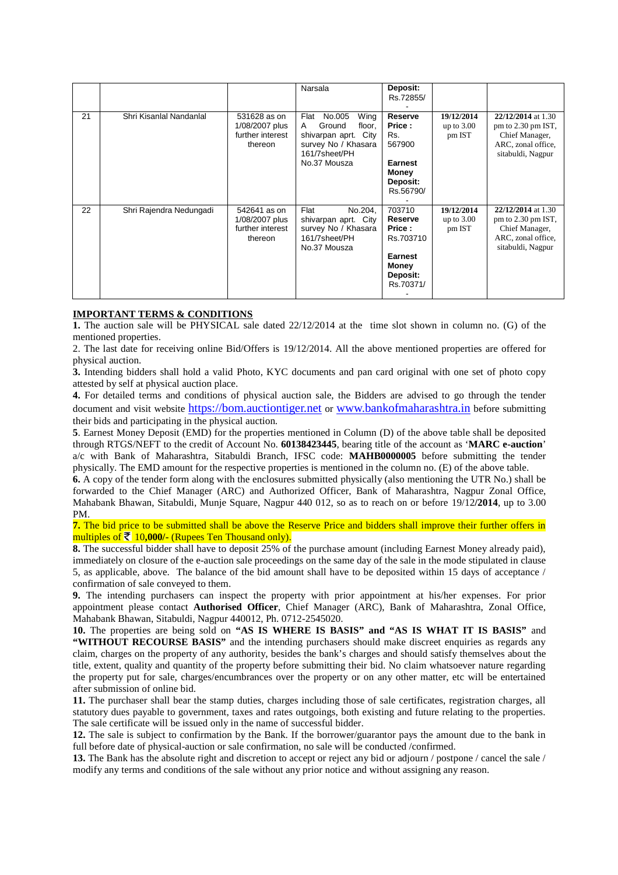|    |                         |                                                               | Narsala                                                                                                                            | Deposit:<br>Rs.72855/                                                                                      |                                      |                                                                                                       |
|----|-------------------------|---------------------------------------------------------------|------------------------------------------------------------------------------------------------------------------------------------|------------------------------------------------------------------------------------------------------------|--------------------------------------|-------------------------------------------------------------------------------------------------------|
| 21 | Shri Kisanlal Nandanlal | 531628 as on<br>1/08/2007 plus<br>further interest<br>thereon | No.005<br>Wing<br>Flat<br>Ground<br>floor,<br>A<br>shivarpan aprt.<br>City<br>survey No / Khasara<br>161/7sheet/PH<br>No.37 Mousza | <b>Reserve</b><br>Price:<br>Rs.<br>567900<br>Earnest<br><b>Money</b><br>Deposit:<br>Rs.56790/              | 19/12/2014<br>up to $3.00$<br>pm IST | 22/12/2014 at 1.30<br>pm to 2.30 pm IST,<br>Chief Manager,<br>ARC, zonal office,<br>sitabuldi, Nagpur |
| 22 | Shri Rajendra Nedungadi | 542641 as on<br>1/08/2007 plus<br>further interest<br>thereon | No.204,<br>Flat<br>shivarpan aprt. City<br>survey No / Khasara<br>161/7sheet/PH<br>No.37 Mousza                                    | 703710<br><b>Reserve</b><br>Price:<br>Rs.703710<br><b>Earnest</b><br><b>Money</b><br>Deposit:<br>Rs.70371/ | 19/12/2014<br>up to $3.00$<br>pm IST | 22/12/2014 at 1.30<br>pm to 2.30 pm IST,<br>Chief Manager,<br>ARC, zonal office,<br>sitabuldi, Nagpur |

#### **IMPORTANT TERMS & CONDITIONS**

**1.** The auction sale will be PHYSICAL sale dated 22/12/2014 at the time slot shown in column no. (G) of the mentioned properties.

2. The last date for receiving online Bid/Offers is 19/12/2014. All the above mentioned properties are offered for physical auction.

**3.** Intending bidders shall hold a valid Photo, KYC documents and pan card original with one set of photo copy attested by self at physical auction place.

**4.** For detailed terms and conditions of physical auction sale, the Bidders are advised to go through the tender document and visit website https://bom.auctiontiger.net or www.bankofmaharashtra.in before submitting their bids and participating in the physical auction.

**5**. Earnest Money Deposit (EMD) for the properties mentioned in Column (D) of the above table shall be deposited through RTGS/NEFT to the credit of Account No. **60138423445**, bearing title of the account as '**MARC e-auction**' a/c with Bank of Maharashtra, Sitabuldi Branch, IFSC code: **MAHB0000005** before submitting the tender physically. The EMD amount for the respective properties is mentioned in the column no. (E) of the above table.

**6.** A copy of the tender form along with the enclosures submitted physically (also mentioning the UTR No.) shall be forwarded to the Chief Manager (ARC) and Authorized Officer, Bank of Maharashtra, Nagpur Zonal Office, Mahabank Bhawan, Sitabuldi, Munje Square, Nagpur 440 012, so as to reach on or before 19/12**/2014**, up to 3.00 PM.

**7.** The bid price to be submitted shall be above the Reserve Price and bidders shall improve their further offers in multiples of  $\bar{\mathcal{F}}$  10,000/- (Rupees Ten Thousand only).

**8.** The successful bidder shall have to deposit 25% of the purchase amount (including Earnest Money already paid), immediately on closure of the e-auction sale proceedings on the same day of the sale in the mode stipulated in clause 5, as applicable, above. The balance of the bid amount shall have to be deposited within 15 days of acceptance / confirmation of sale conveyed to them.

**9.** The intending purchasers can inspect the property with prior appointment at his/her expenses. For prior appointment please contact **Authorised Officer**, Chief Manager (ARC), Bank of Maharashtra, Zonal Office, Mahabank Bhawan, Sitabuldi, Nagpur 440012, Ph. 0712-2545020.

**10.** The properties are being sold on **"AS IS WHERE IS BASIS" and "AS IS WHAT IT IS BASIS"** and **"WITHOUT RECOURSE BASIS"** and the intending purchasers should make discreet enquiries as regards any claim, charges on the property of any authority, besides the bank's charges and should satisfy themselves about the title, extent, quality and quantity of the property before submitting their bid. No claim whatsoever nature regarding the property put for sale, charges/encumbrances over the property or on any other matter, etc will be entertained after submission of online bid.

**11.** The purchaser shall bear the stamp duties, charges including those of sale certificates, registration charges, all statutory dues payable to government, taxes and rates outgoings, both existing and future relating to the properties. The sale certificate will be issued only in the name of successful bidder.

**12.** The sale is subject to confirmation by the Bank. If the borrower/guarantor pays the amount due to the bank in full before date of physical-auction or sale confirmation, no sale will be conducted /confirmed.

**13.** The Bank has the absolute right and discretion to accept or reject any bid or adjourn / postpone / cancel the sale / modify any terms and conditions of the sale without any prior notice and without assigning any reason.